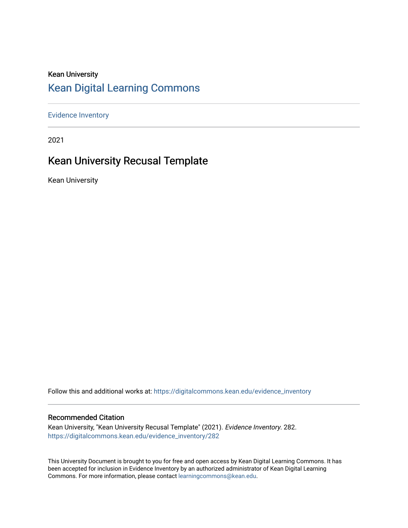## Kean University [Kean Digital Learning Commons](https://digitalcommons.kean.edu/)

[Evidence Inventory](https://digitalcommons.kean.edu/evidence_inventory) 

2021

# Kean University Recusal Template

Kean University

Follow this and additional works at: [https://digitalcommons.kean.edu/evidence\\_inventory](https://digitalcommons.kean.edu/evidence_inventory?utm_source=digitalcommons.kean.edu%2Fevidence_inventory%2F282&utm_medium=PDF&utm_campaign=PDFCoverPages)

#### Recommended Citation

Kean University, "Kean University Recusal Template" (2021). Evidence Inventory. 282. [https://digitalcommons.kean.edu/evidence\\_inventory/282](https://digitalcommons.kean.edu/evidence_inventory/282?utm_source=digitalcommons.kean.edu%2Fevidence_inventory%2F282&utm_medium=PDF&utm_campaign=PDFCoverPages)

This University Document is brought to you for free and open access by Kean Digital Learning Commons. It has been accepted for inclusion in Evidence Inventory by an authorized administrator of Kean Digital Learning Commons. For more information, please contact [learningcommons@kean.edu.](mailto:learningcommons@kean.edu)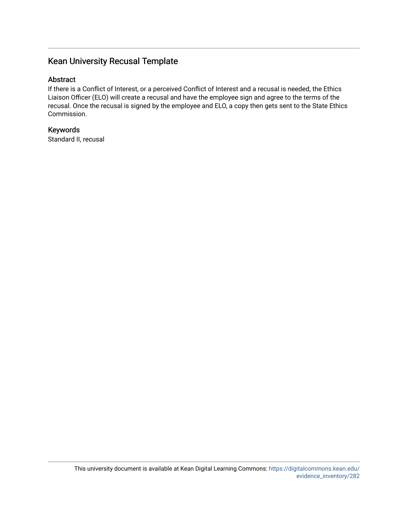## Kean University Recusal Template

### Abstract

If there is a Conflict of Interest, or a perceived Conflict of Interest and a recusal is needed, the Ethics Liaison Officer (ELO) will create a recusal and have the employee sign and agree to the terms of the recusal. Once the recusal is signed by the employee and ELO, a copy then gets sent to the State Ethics Commission.

### Keywords

Standard II, recusal